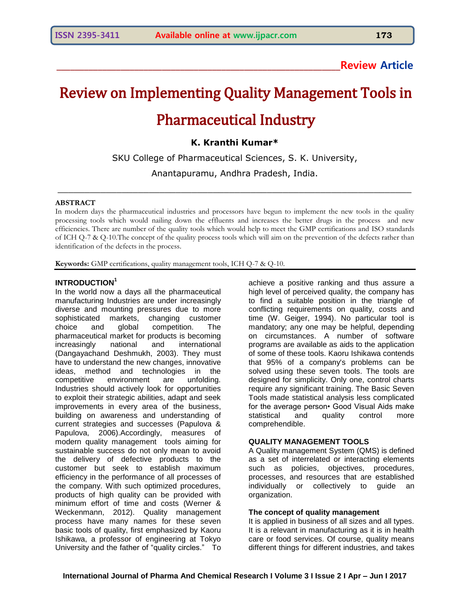# **\_\_\_\_\_\_\_\_\_\_\_\_\_\_\_\_\_\_\_\_\_\_\_\_\_\_\_\_\_\_\_\_\_\_\_\_\_\_\_\_\_\_\_\_\_\_\_\_\_\_\_\_\_\_\_\_\_\_\_\_\_\_Review Article**

# Review on Implementing Quality Management Tools in Pharmaceutical Industry

## **K. Kranthi Kumar\***

SKU College of Pharmaceutical Sciences, S. K. University, Anantapuramu, Andhra Pradesh, India.

\_\_\_\_\_\_\_\_\_\_\_\_\_\_\_\_\_\_\_\_\_\_\_\_\_\_\_\_\_\_\_\_\_\_\_\_\_\_\_\_\_\_\_\_\_\_\_\_\_\_\_\_\_\_\_\_\_\_\_\_\_\_\_\_\_\_

#### **ABSTRACT**

In modern days the pharmaceutical industries and processors have begun to implement the new tools in the quality processing tools which would nailing down the effluents and increases the better drugs in the process and new efficiencies. There are number of the quality tools which would help to meet the GMP certifications and ISO standards of ICH Q-7 & Q-10.The concept of the quality process tools which will aim on the prevention of the defects rather than identification of the defects in the process.

**Keywords:** GMP certifications, quality management tools, ICH Q-7 & Q-10.

#### **INTRODUCTION<sup>1</sup>**

In the world now a days all the pharmaceutical manufacturing Industries are under increasingly diverse and mounting pressures due to more sophisticated markets, changing customer choice and global competition. The pharmaceutical market for products is becoming increasingly national and international (Dangayachand Deshmukh, 2003). They must have to understand the new changes, innovative ideas, method and technologies in the competitive environment are unfolding. Industries should actively look for opportunities to exploit their strategic abilities, adapt and seek improvements in every area of the business, building on awareness and understanding of current strategies and successes (Papulova & Papulova, 2006).Accordingly, measures of modern quality management tools aiming for sustainable success do not only mean to avoid the delivery of defective products to the customer but seek to establish maximum efficiency in the performance of all processes of the company. With such optimized procedures, products of high quality can be provided with minimum effort of time and costs (Werner & Weckenmann, 2012). Quality management process have many names for these seven basic tools of quality, first emphasized by [Kaoru](http://asq.org/about-asq/who-we-are/bio_ishikawa.html)  [Ishikawa,](http://asq.org/about-asq/who-we-are/bio_ishikawa.html) a professor of engineering at Tokyo University and the father of "quality circles." To achieve a positive ranking and thus assure a high level of perceived quality, the company has to find a suitable position in the triangle of conflicting requirements on quality, costs and time (W. Geiger, 1994). No particular tool is mandatory; any one may be helpful, depending on circumstances. A number of software programs are available as aids to the application of some of these tools. Kaoru Ishikawa contends that 95% of a company's problems can be solved using these seven tools. The tools are designed for simplicity. Only one, control charts require any significant training. The Basic Seven Tools made statistical analysis less complicated for the average person• Good Visual Aids make statistical and quality control more comprehendible.

#### **QUALITY MANAGEMENT TOOLS**

A Quality management System (QMS) is defined as a set of interrelated or interacting elements such as policies, objectives, procedures, processes, and resources that are established individually or collectively to guide an organization.

#### **The concept of quality management**

It is applied in business of all sizes and all types. It is a relevant in manufacturing as it is in health care or food services. Of course, quality means different things for different industries, and takes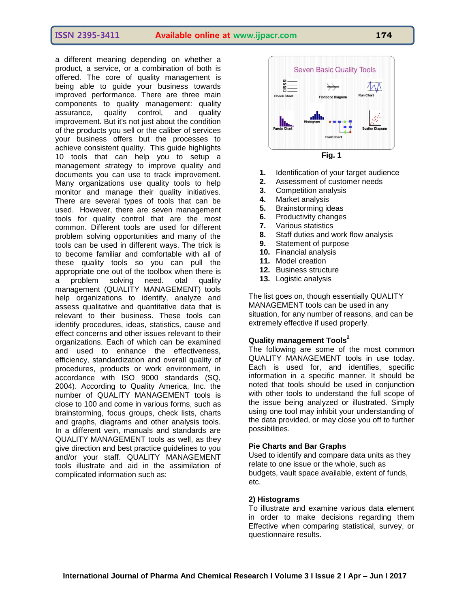a different meaning depending on whether a product, a service, or a combination of both is offered. The core of quality management is being able to guide your business towards improved performance. There are three main components to quality management: quality assurance, quality control, and quality improvement. But it's not just about the condition of the products you sell or the caliber of services your business offers but the processes to achieve consistent quality. This guide highlights 10 tools that can help you to setup a management strategy to improve quality and documents you can use to track improvement. Many organizations use quality tools to help monitor and manage their quality initiatives. There are several types of tools that can be used. However, there are seven management tools for quality control that are the most common. Different tools are used for different problem solving opportunities and many of the tools can be used in different ways. The trick is to become familiar and comfortable with all of these quality tools so you can pull the appropriate one out of the toolbox when there is a problem solving need. otal quality management (QUALITY MANAGEMENT) tools help organizations to identify, analyze and assess qualitative and quantitative data that is relevant to their business. These tools can identify procedures, ideas, statistics, cause and effect concerns and other issues relevant to their organizations. Each of which can be examined and used to enhance the effectiveness, efficiency, standardization and overall quality of procedures, products or work environment, in accordance with ISO 9000 standards (SQ, 2004). According to Quality America, Inc. the number of QUALITY MANAGEMENT tools is close to 100 and come in various forms, such as brainstorming, focus groups, check lists, charts and graphs, diagrams and other analysis tools. In a different vein, manuals and standards are QUALITY MANAGEMENT tools as well, as they give direction and best practice guidelines to you and/or your staff. QUALITY MANAGEMENT tools illustrate and aid in the assimilation of complicated information such as:



- **1.** Identification of your target audience
- **2.** Assessment of customer needs
- **3.** Competition analysis
- **4.** Market analysis
- **5.** Brainstorming ideas
- **6.** Productivity changes
- **7.** Various statistics
- **8.** Staff duties and work flow analysis
- **9.** Statement of purpose
- **10.** Financial analysis
- **11.** Model creation
- **12.** Business structure
- **13.** Logistic analysis

The list goes on, though essentially QUALITY MANAGEMENT tools can be used in any situation, for any number of reasons, and can be extremely effective if used properly.

#### **Quality management Tools<sup>2</sup>**

The following are some of the most common QUALITY MANAGEMENT tools in use today. Each is used for, and identifies, specific information in a specific manner. It should be noted that tools should be used in conjunction with other tools to understand the full scope of the issue being analyzed or illustrated. Simply using one tool may inhibit your understanding of the data provided, or may close you off to further possibilities.

#### **Pie Charts and Bar Graphs**

Used to identify and compare data units as they relate to one issue or the whole, such as budgets, vault space available, extent of funds, etc.

#### **2) Histograms**

To illustrate and examine various data element in order to make decisions regarding them Effective when comparing statistical, survey, or questionnaire results.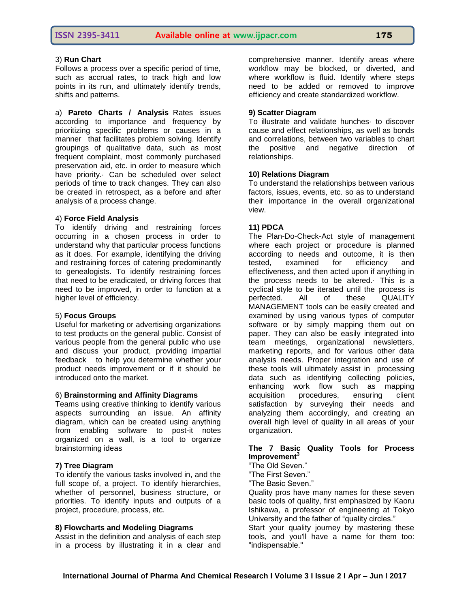#### 3) **Run Chart**

Follows a process over a specific period of time, such as accrual rates, to track high and low points in its run, and ultimately identify trends, shifts and patterns.

a) **Pareto Charts / Analysis** Rates issues according to importance and frequency by prioritizing specific problems or causes in a manner that facilitates problem solving. Identify groupings of qualitative data, such as most frequent complaint, most commonly purchased preservation aid, etc. in order to measure which have priority. Can be scheduled over select periods of time to track changes. They can also be created in retrospect, as a before and after analysis of a process change.

#### 4) **Force Field Analysis**

To identify driving and restraining forces occurring in a chosen process in order to understand why that particular process functions as it does. For example, identifying the driving and restraining forces of catering predominantly to genealogists. To identify restraining forces that need to be eradicated, or driving forces that need to be improved, in order to function at a higher level of efficiency.

#### 5) **Focus Groups**

Useful for marketing or advertising organizations to test products on the general public. Consist of various people from the general public who use and discuss your product, providing impartial feedback to help you determine whether your product needs improvement or if it should be introduced onto the market.

#### 6) **Brainstorming and Affinity Diagrams**

Teams using creative thinking to identify various aspects surrounding an issue. An affinity diagram, which can be created using anything from enabling software to post-it notes organized on a wall, is a tool to organize brainstorming ideas

#### **7) Tree Diagram**

To identify the various tasks involved in, and the full scope of, a project. To identify hierarchies, whether of personnel, business structure, or priorities. To identify inputs and outputs of a project, procedure, process, etc.

#### **8) Flowcharts and Modeling Diagrams**

Assist in the definition and analysis of each step in a process by illustrating it in a clear and comprehensive manner. Identify areas where workflow may be blocked, or diverted, and where workflow is fluid. Identify where steps need to be added or removed to improve efficiency and create standardized workflow.

#### **9) Scatter Diagram**

To illustrate and validate hunches· to discover cause and effect relationships, as well as bonds and correlations, between two variables to chart the positive and negative direction of relationships.

#### **10) Relations Diagram**

To understand the relationships between various factors, issues, events, etc. so as to understand their importance in the overall organizational view.

#### **11) PDCA**

The Plan-Do-Check-Act style of management where each project or procedure is planned according to needs and outcome, it is then tested, examined for efficiency and effectiveness, and then acted upon if anything in the process needs to be altered.· This is a cyclical style to be iterated until the process is perfected. All of these QUALITY MANAGEMENT tools can be easily created and examined by using various types of computer software or by simply mapping them out on paper. They can also be easily integrated into team meetings, organizational newsletters, marketing reports, and for various other data analysis needs. Proper integration and use of these tools will ultimately assist in processing data such as identifying collecting policies, enhancing work flow such as mapping acquisition procedures, ensuring client satisfaction by surveying their needs and analyzing them accordingly, and creating an overall high level of quality in all areas of your organization.

#### **The 7 Basic Quality Tools for Process Improvement<sup>3</sup>**

"The Old Seven."

"The First Seven."

"The Basic Seven."

Quality pros have many names for these seven basic tools of quality, first emphasized by [Kaoru](http://asq.org/about-asq/who-we-are/bio_ishikawa.html)  [Ishikawa,](http://asq.org/about-asq/who-we-are/bio_ishikawa.html) a professor of engineering at Tokyo University and the father of "quality circles."

Start your quality journey by mastering these tools, and you'll have a name for them too: "indispensable."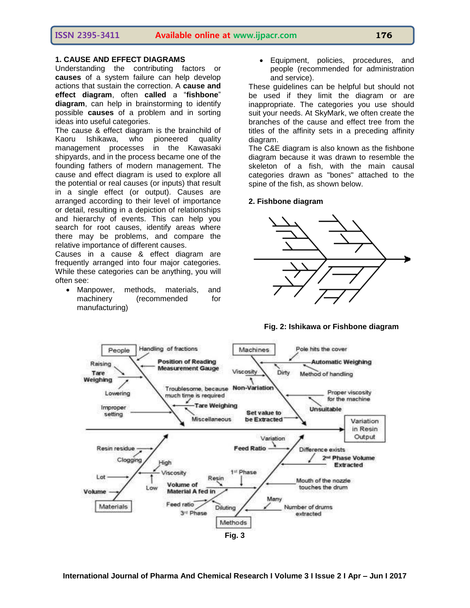#### **1. CAUSE AND EFFECT DIAGRAMS**

Understanding the contributing factors or **causes** of a system failure can help develop actions that sustain the correction. A **cause and effect diagram**, often **called** a "**fishbone**" **diagram**, can help in brainstorming to identify possible **causes** of a problem and in sorting ideas into useful categories.

The cause & effect diagram is the brainchild of Kaoru Ishikawa, who pioneered quality management processes in the Kawasaki shipyards, and in the process became one of the founding fathers of modern management. The cause and effect diagram is used to explore all the potential or real causes (or inputs) that result in a single effect (or output). Causes are arranged according to their level of importance or detail, resulting in a depiction of relationships and hierarchy of events. This can help you search for root causes, identify areas where there may be problems, and compare the relative importance of different causes.

Causes in a cause & effect diagram are frequently arranged into four major categories. While these categories can be anything, you will often see:

• Manpower, methods, materials, and machinery (recommended for manufacturing)

 Equipment, policies, procedures, and people (recommended for administration and service).

These guidelines can be helpful but should not be used if they limit the diagram or are inappropriate. The categories you use should suit your needs. At SkyMark, we often create the branches of the cause and effect tree from the titles of the affinity sets in a preceding affinity diagram.

The C&E diagram is also known as the fishbone diagram because it was drawn to resemble the skeleton of a fish, with the main causal categories drawn as "bones" attached to the spine of the fish, as shown below.

#### **2. Fishbone diagram**



#### **Fig. 2: Ishikawa or Fishbone diagram**

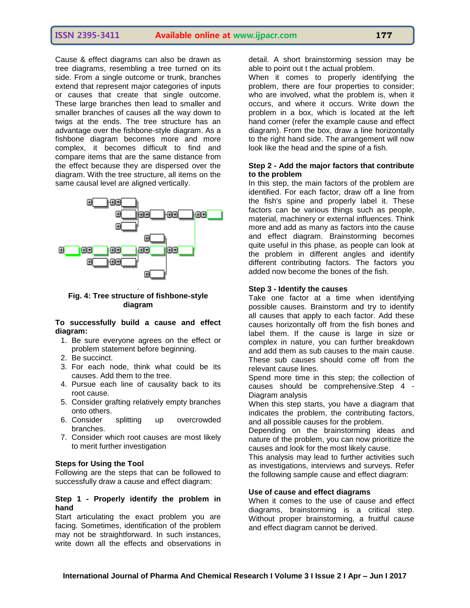Cause & effect diagrams can also be drawn as tree diagrams, resembling a tree turned on its side. From a single outcome or trunk, branches extend that represent major categories of inputs or causes that create that single outcome. These large branches then lead to smaller and smaller branches of causes all the way down to twigs at the ends. The tree structure has an advantage over the fishbone-style diagram. As a fishbone diagram becomes more and more complex, it becomes difficult to find and compare items that are the same distance from the effect because they are dispersed over the diagram. With the tree structure, all items on the same causal level are aligned vertically.



#### **Fig. 4: Tree structure of fishbone-style diagram**

#### **To successfully build a cause and effect diagram:**

- 1. Be sure everyone agrees on the effect or problem statement before beginning.
- 2. Be succinct.
- 3. For each node, think what could be its causes. Add them to the tree.
- 4. Pursue each line of causality back to its root cause.
- 5. Consider grafting relatively empty branches onto others.
- 6. Consider splitting up overcrowded branches.
- 7. Consider which root causes are most likely to merit further investigation

#### **Steps for Using the Tool**

Following are the steps that can be followed to successfully draw a cause and effect diagram:

#### **Step 1 - Properly identify the problem in hand**

Start articulating the exact problem you are facing. Sometimes, identification of the problem may not be straightforward. In such instances, write down all the effects and observations in

detail. A short brainstorming session may be able to point out t the actual problem.

When it comes to properly identifying the problem, there are four properties to consider; who are involved, what the problem is, when it occurs, and where it occurs. Write down the problem in a box, which is located at the left hand corner (refer the example cause and effect diagram). From the box, draw a line horizontally to the right hand side. The arrangement will now look like the head and the spine of a fish.

#### **Step 2 - Add the major factors that contribute to the problem**

In this step, the main factors of the problem are identified. For each factor, draw off a line from the fish's spine and properly label it. These factors can be various things such as people, material, machinery or external influences. Think more and add as many as factors into the cause and effect diagram. Brainstorming becomes quite useful in this phase, as people can look at the problem in different angles and identify different contributing factors. The factors you added now become the bones of the fish.

#### **Step 3 - Identify the causes**

Take one factor at a time when identifying possible causes. Brainstorm and try to identify all causes that apply to each factor. Add these causes horizontally off from the fish bones and label them. If the cause is large in size or complex in nature, you can further breakdown and add them as sub causes to the main cause. These sub causes should come off from the relevant cause lines.

Spend more time in this step; the collection of causes should be comprehensive.Step 4 - Diagram analysis

When this step starts, you have a diagram that indicates the problem, the contributing factors, and all possible causes for the problem.

Depending on the brainstorming ideas and nature of the problem, you can now prioritize the causes and look for the most likely cause.

This analysis may lead to further activities such as investigations, interviews and surveys. Refer the following sample cause and effect diagram:

#### **Use of cause and effect diagrams**

When it comes to the use of cause and effect diagrams, brainstorming is a critical step. Without proper brainstorming, a fruitful cause and effect diagram cannot be derived.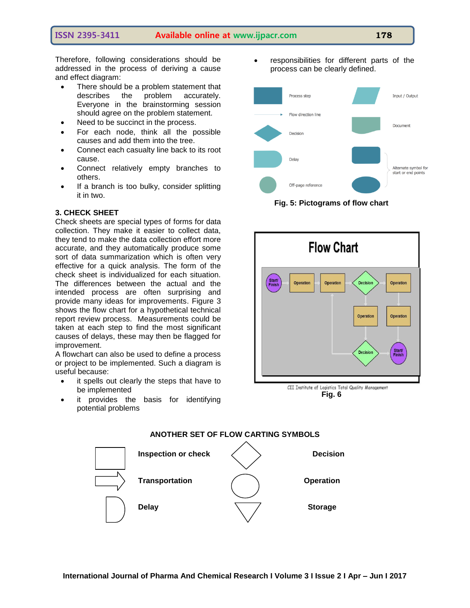Therefore, following considerations should be addressed in the process of deriving a cause and effect diagram:

- There should be a problem statement that describes the problem accurately. Everyone in the brainstorming session should agree on the problem statement.
- Need to be succinct in the process.
- For each node, think all the possible causes and add them into the tree.
- Connect each casualty line back to its root cause.
- Connect relatively empty branches to others.
- If a branch is too bulky, consider splitting it in two.

#### **3. CHECK SHEET**

Check sheets are special types of forms for data collection. They make it easier to collect data, they tend to make the data collection effort more accurate, and they automatically produce some sort of data summarization which is often very effective for a quick analysis. The form of the check sheet is individualized for each situation. The differences between the actual and the intended process are often surprising and provide many ideas for improvements. Figure 3 shows the flow chart for a hypothetical technical report review process. Measurements could be taken at each step to find the most significant causes of delays, these may then be flagged for improvement.

A flowchart can also be used to define a process or project to be implemented. Such a diagram is useful because:

- it spells out clearly the steps that have to be implemented
- it provides the basis for identifying potential problems



responsibilities for different parts of the

process can be clearly defined.





CII Institute of Logistics Total Quality Management **Fig. 6**



#### **ANOTHER SET OF FLOW CARTING SYMBOLS**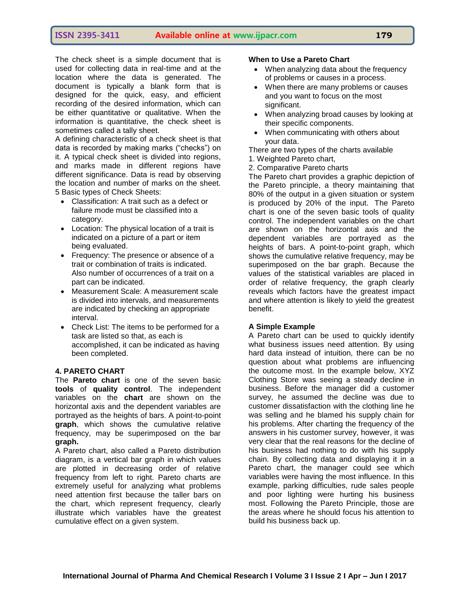The check sheet is a simple document that is used for collecting data in real-time and at the location where the data is generated. The document is typically a blank form that is designed for the quick, easy, and efficient recording of the desired information, which can be either quantitative or qualitative. When the information is quantitative, the check sheet is sometimes called a [tally sheet.](http://en.wikipedia.org/w/index.php?title=Tally_sheet&action=edit&redlink=1)

A defining characteristic of a check sheet is that data is recorded by making marks ("checks") on it. A typical check sheet is divided into regions, and marks made in different regions have different significance. Data is read by observing the location and number of marks on the sheet. 5 Basic types of Check Sheets:

- Classification: A trait such as a defect or failure mode must be classified into a category.
- Location: The physical location of a trait is indicated on a picture of a part or item being evaluated.
- Frequency: The presence or absence of a trait or combination of traits is indicated. Also number of occurrences of a trait on a part can be indicated.
- Measurement Scale: A measurement scale is divided into intervals, and measurements are indicated by checking an appropriate interval.
- Check List: The items to be performed for a task are listed so that, as each is accomplished, it can be indicated as having been completed.

#### **4. PARETO CHART**

The **Pareto chart** is one of the seven basic **tools** of **quality control**. The independent variables on the **chart** are shown on the horizontal axis and the dependent variables are portrayed as the heights of bars. A point-to-point **graph**, which shows the cumulative relative frequency, may be superimposed on the bar **graph.**

A Pareto chart, also called a Pareto distribution diagram, is a vertical [bar graph](http://whatis.techtarget.com/definition/bar-graph) in which values are plotted in decreasing order of relative frequency from left to right. Pareto charts are extremely useful for analyzing what problems need attention first because the taller bars on the chart, which represent frequency, clearly illustrate which variables have the greatest cumulative effect on a given system.

#### **When to Use a Pareto Chart**

- When analyzing data about the frequency of problems or causes in a process.
- When there are many problems or causes and you want to focus on the most significant.
- When analyzing broad causes by looking at their specific components.
- When communicating with others about your data.

There are two types of the charts available

1. Weighted Pareto chart,

2. Comparative Pareto charts

The Pareto chart provides a graphic depiction of the [Pareto principle,](http://whatis.techtarget.com/definition/Pareto-principle) a theory maintaining that 80% of the output in a given situation or system is produced by 20% of the input. The Pareto chart is one of the seven basic tools of quality control. The [independent variables](http://whatis.techtarget.com/definition/independent-variable) on the chart are shown on the horizontal axis and the [dependent variables](http://whatis.techtarget.com/definition/dependent-variable) are portrayed as the heights of bars. A point-to-point graph, which shows the cumulative relative frequency, may be superimposed on the bar graph. Because the values of the statistical variables are placed in order of relative frequency, the graph clearly reveals which factors have the greatest impact and where attention is likely to yield the greatest benefit.

#### **A Simple Example**

A Pareto chart can be used to quickly identify what business issues need attention. By using hard data instead of intuition, there can be no question about what problems are influencing the outcome most. In the example below, XYZ Clothing Store was seeing a steady decline in business. Before the manager did a customer survey, he assumed the decline was due to customer dissatisfaction with the clothing line he was selling and he blamed his supply chain for his problems. After charting the frequency of the answers in his customer survey, however, it was very clear that the real reasons for the decline of his business had nothing to do with his supply chain. By collecting data and displaying it in a Pareto chart, the manager could see which variables were having the most influence. In this example, parking difficulties, rude sales people and poor lighting were hurting his business most. Following the Pareto Principle, those are the areas where he should focus his attention to build his business back up.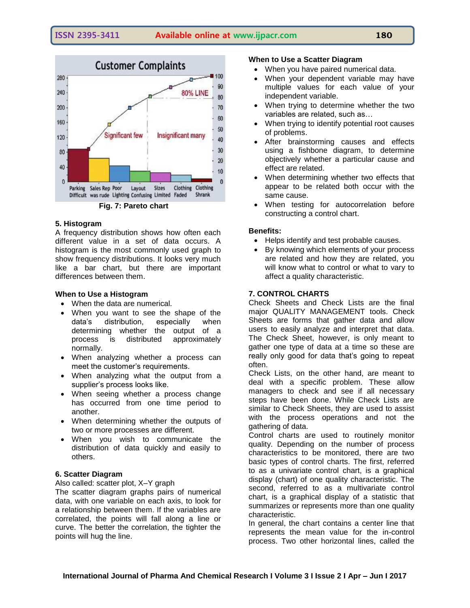

#### **5. Histogram**

A frequency distribution shows how often each different value in a set of data occurs. A histogram is the most commonly used graph to show frequency distributions. It looks very much like a bar chart, but there are important differences between them.

#### **When to Use a Histogram**

- When the data are numerical.
- When you want to see the shape of the data's distribution, especially when determining whether the output of a<br>process is distributed approximately process is distributed approximately normally.
- When analyzing whether a process can meet the customer's requirements.
- When analyzing what the output from a supplier's process looks like.
- When seeing whether a process change has occurred from one time period to another.
- When determining whether the outputs of two or more processes are different.
- When you wish to communicate the distribution of data quickly and easily to others.

#### **6. [Scatter Diagram](http://asq.org/learn-about-quality/cause-analysis-tools/overview/scatter.html)**

Also called: scatter plot, X–Y graph

The [scatter diagram](http://asq.org/learn-about-quality/cause-analysis-tools/overview/scatter.html) graphs pairs of numerical data, with one variable on each axis, to look for a relationship between them. If the variables are correlated, the points will fall along a line or curve. The better the correlation, the tighter the points will hug the line.

#### **When to Use a [Scatter Diagram](http://asq.org/learn-about-quality/cause-analysis-tools/overview/scatter.html)**

- When you have paired numerical data.
- When your dependent variable may have multiple values for each value of your independent variable.
- When trying to determine whether the two variables are related, such as…
- When trying to identify potential root causes of problems.
- After brainstorming causes and effects using a fishbone diagram, to determine objectively whether a particular cause and effect are related.
- When determining whether two effects that appear to be related both occur with the same cause.
- When testing for autocorrelation before constructing a control chart.

#### **Benefits:**

- Helps identify and test probable causes.
- By knowing which elements of your process are related and how they are related, you will know what to control or what to vary to affect a quality characteristic.

#### **7. CONTROL CHARTS**

Check Sheets and Check Lists are the final major QUALITY MANAGEMENT tools. Check Sheets are forms that gather data and allow users to easily analyze and interpret that data. The Check Sheet, however, is only meant to gather one type of data at a time so these are really only good for data that's going to repeat often.

Check Lists, on the other hand, are meant to deal with a specific problem. These allow managers to check and see if all necessary steps have been done. While Check Lists are similar to Check Sheets, they are used to assist with the process operations and not the gathering of data.

Control charts are used to routinely monitor quality. Depending on the number of process characteristics to be monitored, there are two basic types of control charts. The first, referred to as a univariate control chart, is a graphical display (chart) of one quality characteristic. The second, referred to as a multivariate control chart, is a graphical display of a statistic that summarizes or represents more than one quality characteristic.

In general, the chart contains a center line that represents the mean value for the in-control process. Two other horizontal lines, called the